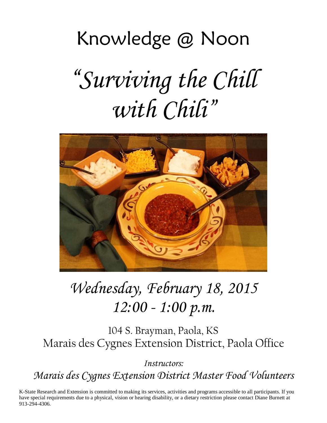# Knowledge @ Noon "*Surviving the Chill with Chili*"



# *Wednesday, February 18, 2015 12:00 - 1:00 p.m.*

104 S. Brayman, Paola, KS Marais des Cygnes Extension District, Paola Office

*Instructors: Marais des Cygnes Extension District Master Food Volunteers*

K-State Research and Extension is committed to making its services, activities and programs accessible to all participants. If you have special requirements due to a physical, vision or hearing disability, or a dietary restriction please contact Diane Burnett at 913-294-4306.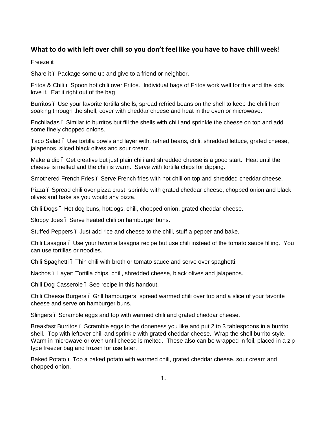# **What to do with left over chili so you don't feel like you have to have chili week!**

Freeze it

Share it. Package some up and give to a friend or neighbor.

Fritos & Chili – Spoon hot chili over Fritos. Individual bags of Fritos work well for this and the kids love it. Eat it right out of the bag

Burritos – Use your favorite tortilla shells, spread refried beans on the shell to keep the chili from soaking through the shell, cover with cheddar cheese and heat in the oven or microwave.

Enchiladas – Similar to burritos but fill the shells with chili and sprinkle the cheese on top and add some finely chopped onions.

Taco Salad – Use tortilla bowls and layer with, refried beans, chili, shredded lettuce, grated cheese, jalapenos, sliced black olives and sour cream.

Make a dip. Get creative but just plain chili and shredded cheese is a good start. Heat until the cheese is melted and the chili is warm. Serve with tortilla chips for dipping.

Smothered French Fries – Serve French fries with hot chili on top and shredded cheddar cheese.

Pizza – Spread chili over pizza crust, sprinkle with grated cheddar cheese, chopped onion and black olives and bake as you would any pizza.

Chili Dogs – Hot dog buns, hotdogs, chili, chopped onion, grated cheddar cheese.

Sloppy Joes – Serve heated chili on hamburger buns.

Stuffed Peppers – Just add rice and cheese to the chili, stuff a pepper and bake.

Chili Lasagna – Use your favorite lasagna recipe but use chili instead of the tomato sauce filling. You can use tortillas or noodles.

Chili Spaghetti – Thin chili with broth or tomato sauce and serve over spaghetti.

Nachos – Layer; Tortilla chips, chili, shredded cheese, black olives and jalapenos.

Chili Dog Casserole – See recipe in this handout.

Chili Cheese Burgers – Grill hamburgers, spread warmed chili over top and a slice of your favorite cheese and serve on hamburger buns.

Slingers – Scramble eggs and top with warmed chili and grated cheddar cheese.

Breakfast Burritos – Scramble eggs to the doneness you like and put 2 to 3 tablespoons in a burrito shell. Top with leftover chili and sprinkle with grated cheddar cheese. Wrap the shell burrito style. Warm in microwave or oven until cheese is melted. These also can be wrapped in foil, placed in a zip type freezer bag and frozen for use later.

Baked Potato – Top a baked potato with warmed chili, grated cheddar cheese, sour cream and chopped onion.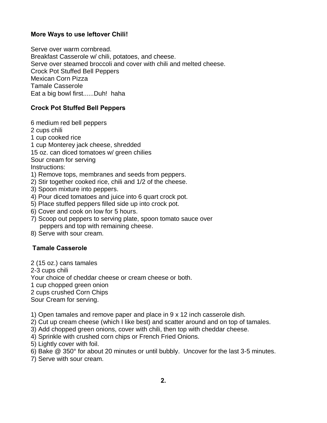#### **More Ways to use leftover Chili!**

Serve over warm cornbread. Breakfast Casserole w/ chili, potatoes, and cheese. Serve over steamed broccoli and cover with chili and melted cheese. Crock Pot Stuffed Bell Peppers Mexican Corn Pizza Tamale Casserole Eat a big bowl first......Duh! haha

# **Crock Pot Stuffed Bell Peppers**

6 medium red bell peppers 2 cups chili 1 cup cooked rice 1 cup Monterey jack cheese, shredded 15 oz. can diced tomatoes w/ green chilies Sour cream for serving Instructions: 1) Remove tops, membranes and seeds from peppers. 2) Stir together cooked rice, chili and 1/2 of the cheese. 3) Spoon mixture into peppers.

- 4) Pour diced tomatoes and juice into 6 quart crock pot.
- 5) Place stuffed peppers filled side up into crock pot.
- 6) Cover and cook on low for 5 hours.
- 7) Scoop out peppers to serving plate, spoon tomato sauce over peppers and top with remaining cheese.
- 8) Serve with sour cream.

#### **Tamale Casserole**

2 (15 oz.) cans tamales

2-3 cups chili

Your choice of cheddar cheese or cream cheese or both.

1 cup chopped green onion

2 cups crushed Corn Chips

Sour Cream for serving.

1) Open tamales and remove paper and place in 9 x 12 inch casserole dish.

2) Cut up cream cheese (which I like best) and scatter around and on top of tamales.

3) Add chopped green onions, cover with chili, then top with cheddar cheese.

4) Sprinkle with crushed corn chips or French Fried Onions.

5) Lightly cover with foil.

6) Bake @ 350° for about 20 minutes or until bubbly. Uncover for the last 3-5 minutes.

7) Serve with sour cream.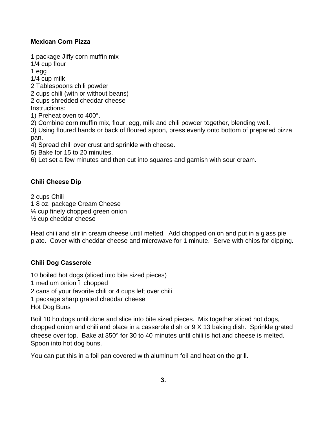#### **Mexican Corn Pizza**

1 package Jiffy corn muffin mix 1/4 cup flour 1 egg 1/4 cup milk 2 Tablespoons chili powder 2 cups chili (with or without beans) 2 cups shredded cheddar cheese Instructions: 1) Preheat oven to 400°. 2) Combine corn muffin mix, flour, egg, milk and chili powder together, blending well. 3) Using floured hands or back of floured spoon, press evenly onto bottom of prepared pizza pan.

4) Spread chili over crust and sprinkle with cheese.

5) Bake for 15 to 20 minutes.

6) Let set a few minutes and then cut into squares and garnish with sour cream.

#### **Chili Cheese Dip**

2 cups Chili 1 8 oz. package Cream Cheese ¼ cup finely chopped green onion ½ cup cheddar cheese

Heat chili and stir in cream cheese until melted. Add chopped onion and put in a glass pie plate. Cover with cheddar cheese and microwave for 1 minute. Serve with chips for dipping.

#### **Chili Dog Casserole**

10 boiled hot dogs (sliced into bite sized pieces) 1 medium onion – chopped 2 cans of your favorite chili or 4 cups left over chili 1 package sharp grated cheddar cheese Hot Dog Buns

Boil 10 hotdogs until done and slice into bite sized pieces. Mix together sliced hot dogs, chopped onion and chili and place in a casserole dish or 9 X 13 baking dish. Sprinkle grated cheese over top. Bake at 350° for 30 to 40 minutes until chili is hot and cheese is melted. Spoon into hot dog buns.

You can put this in a foil pan covered with aluminum foil and heat on the grill.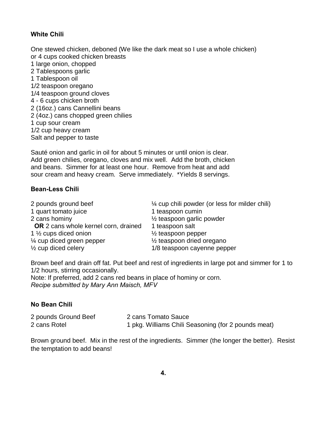#### **White Chili**

One stewed chicken, deboned (We like the dark meat so I use a whole chicken) or 4 cups cooked chicken breasts 1 large onion, chopped 2 Tablespoons garlic 1 Tablespoon oil 1/2 teaspoon oregano 1/4 teaspoon ground cloves 4 - 6 cups chicken broth 2 (16oz.) cans Cannellini beans 2 (4oz.) cans chopped green chilies 1 cup sour cream 1/2 cup heavy cream Salt and pepper to taste

Sauté onion and garlic in oil for about 5 minutes or until onion is clear. Add green chilies, oregano, cloves and mix well. Add the broth, chicken and beans. Simmer for at least one hour. Remove from heat and add sour cream and heavy cream. Serve immediately. \*Yields 8 servings.

#### **Bean-Less Chili**

| 2 pounds ground beef                        | $\frac{1}{4}$ cup chili powder (or less for milder chili) |
|---------------------------------------------|-----------------------------------------------------------|
| 1 quart tomato juice                        | 1 teaspoon cumin                                          |
| 2 cans hominy                               | $\frac{1}{2}$ teaspoon garlic powder                      |
| <b>OR</b> 2 cans whole kernel corn, drained | 1 teaspoon salt                                           |
| 1 1/ <sub>2</sub> cups diced onion          | $\frac{1}{2}$ teaspoon pepper                             |
| 1/4 cup diced green pepper                  | $\frac{1}{2}$ teaspoon dried oregano                      |
| $\frac{1}{2}$ cup diced celery              | 1/8 teaspoon cayenne pepper                               |

Brown beef and drain off fat. Put beef and rest of ingredients in large pot and simmer for 1 to 1/2 hours, stirring occasionally.

Note: If preferred, add 2 cans red beans in place of hominy or corn. *Recipe submitted by Mary Ann Maisch, MFV*

#### **No Bean Chili**

| 2 pounds Ground Beef | 2 cans Tomato Sauce                                 |
|----------------------|-----------------------------------------------------|
| 2 cans Rotel         | 1 pkg. Williams Chili Seasoning (for 2 pounds meat) |

Brown ground beef. Mix in the rest of the ingredients. Simmer (the longer the better). Resist the temptation to add beans!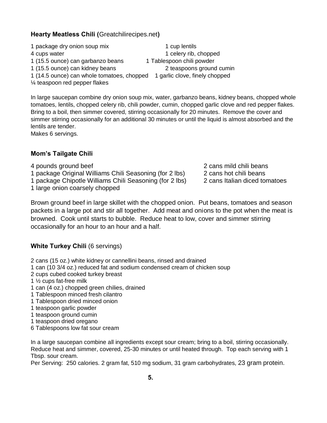**Hearty Meatless Chili (**Greatchilirecipes.net**)**

1 package dry onion soup mix 1 cup lentils 4 cups water 1 celery rib, chopped 1 (15.5 ounce) can garbanzo beans 1 Tablespoon chili powder 1 (15.5 ounce) can kidney beans 2 teaspoons ground cumin 1 (14.5 ounce) can whole tomatoes, chopped 1 garlic clove, finely chopped ¼ teaspoon red pepper flakes

In large saucepan combine dry onion soup mix, water, garbanzo beans, kidney beans, chopped whole tomatoes, lentils, chopped celery rib, chili powder, cumin, chopped garlic clove and red pepper flakes. Bring to a boil, then simmer covered, stirring occasionally for 20 minutes. Remove the cover and simmer stirring occasionally for an additional 30 minutes or until the liquid is almost absorbed and the lentils are tender.

Makes 6 servings.

# **Mom's Tailgate Chili**

- 
- 1 package Original Williams Chili Seasoning (for 2 lbs) 2 cans hot chili beans
- 1 package Chipotle Williams Chili Seasoning (for 2 lbs) 2 cans Italian diced tomatoes
- 1 large onion coarsely chopped

Brown ground beef in large skillet with the chopped onion. Put beans, tomatoes and season packets in a large pot and stir all together. Add meat and onions to the pot when the meat is browned. Cook until starts to bubble. Reduce heat to low, cover and simmer stirring occasionally for an hour to an hour and a half.

# **White Turkey Chili** (6 servings)

2 cans (15 oz.) white kidney or cannellini beans, rinsed and drained

- 1 can (10 3/4 oz.) reduced fat and sodium condensed cream of chicken soup
- 2 cups cubed cooked turkey breast
- 1 ½ cups fat-free milk
- 1 can (4 oz.) chopped green chilies, drained
- 1 Tablespoon minced fresh cilantro
- 1 Tablespoon dried minced onion
- 1 teaspoon garlic powder
- 1 teaspoon ground cumin
- 1 teaspoon dried oregano
- 6 Tablespoons low fat sour cream

In a large saucepan combine all ingredients except sour cream; bring to a boil, stirring occasionally. Reduce heat and simmer, covered, 25-30 minutes or until heated through. Top each serving with 1 Tbsp. sour cream.

Per Serving: 250 calories. 2 gram fat, 510 mg sodium, 31 gram carbohydrates, 23 gram protein.

- 4 pounds ground beef 2 cans mild chili beans
	-
	-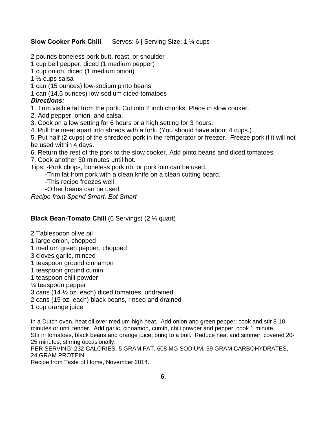#### **Slow Cooker Pork Chili** Serves: 6 | Serving Size: 1 % cups

2 pounds boneless pork butt, roast, or shoulder

1 cup bell pepper, diced (1 medium pepper)

- 1 cup onion, diced (1 medium onion)
- 1 ½ cups salsa
- 1 can (15 ounces) low-sodium pinto beans
- 1 can (14.5 ounces) low-sodium diced tomatoes

#### *Directions:*

- 1. Trim visible fat from the pork. Cut into 2 inch chunks. Place in slow cooker.
- 2. Add pepper, onion, and salsa.
- 3. Cook on a low setting for 6 hours or a high setting for 3 hours.
- 4. Pull the meat apart into shreds with a fork. (You should have about 4 cups.)

5. Put half (2 cups) of the shredded pork in the refrigerator or freezer. Freeze pork if it will not be used within 4 days.

- 6. Return the rest of the pork to the slow cooker. Add pinto beans and diced tomatoes.
- 7. Cook another 30 minutes until hot.

Tips: -Pork chops, boneless pork rib, or pork loin can be used.

- -Trim fat from pork with a clean knife on a clean cutting board.
- -This recipe freezes well.
- -Other beans can be used.

*Recipe from Spend Smart. Eat Smart*

#### **Black Bean-Tomato Chili** (6 Servings) (2 ¼ quart)

- 2 Tablespoon olive oil
- 1 large onion, chopped
- 1 medium green pepper, chopped
- 3 cloves garlic, minced
- 1 teaspoon ground cinnamon
- 1 teaspoon ground cumin
- 1 teaspoon chili powder
- ¼ teaspoon pepper
- 3 cans (14 ½ oz. each) diced tomatoes, undrained
- 2 cans (15 oz. each) black beans, rinsed and drained
- 1 cup orange juice

In a Dutch oven, heat oil over medium-high heat. Add onion and green pepper; cook and stir 8-10 minutes or until tender. Add garlic, cinnamon, cumin, chili powder and pepper; cook 1 minute. Stir in tomatoes, black beans and orange juice; bring to a boil. Reduce heat and simmer, covered 20- 25 minutes, stirring occasionally.

PER SERVING: 232 CALORIES, 5 GRAM FAT, 608 MG SODIUM, 39 GRAM CARBOHYDRATES, 24 GRAM PROTEIN.

Recipe from Taste of Home, November 2014..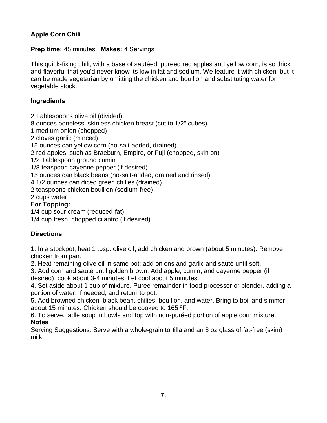# **Apple Corn Chili**

#### **Prep time:** 45 minutes **Makes:** 4 Servings

This quick-fixing chili, with a base of sautéed, pureed red apples and yellow corn, is so thick and flavorful that you'd never know its low in fat and sodium. We feature it with chicken, but it can be made vegetarian by omitting the chicken and bouillon and substituting water for vegetable stock.

# **Ingredients**

2 Tablespoons olive oil (divided)

8 ounces boneless, skinless chicken breast (cut to 1/2" cubes)

1 medium onion (chopped)

2 cloves garlic (minced)

15 ounces can yellow corn (no-salt-added, drained)

2 red apples, such as Braeburn, Empire, or Fuji (chopped, skin on)

1/2 Tablespoon ground cumin

1/8 teaspoon cayenne pepper (if desired)

15 ounces can black beans (no-salt-added, drained and rinsed)

4 1/2 ounces can diced green chilies (drained)

2 teaspoons chicken bouillon (sodium-free)

2 cups water

# **For Topping:**

1/4 cup sour cream (reduced-fat)

1/4 cup fresh, chopped cilantro (if desired)

# **Directions**

1. In a stockpot, heat 1 tbsp. olive oil; add chicken and brown (about 5 minutes). Remove chicken from pan.

2. Heat remaining olive oil in same pot; add onions and garlic and sauté until soft.

3. Add corn and sauté until golden brown. Add apple, cumin, and cayenne pepper (if desired); cook about 3-4 minutes. Let cool about 5 minutes.

4. Set aside about 1 cup of mixture. Purée remainder in food processor or blender, adding a portion of water, if needed, and return to pot.

5. Add browned chicken, black bean, chilies, bouillon, and water. Bring to boil and simmer about 15 minutes. Chicken should be cooked to 165 ºF.

6. To serve, ladle soup in bowls and top with non-puréed portion of apple corn mixture. **Notes**

Serving Suggestions: Serve with a whole-grain tortilla and an 8 oz glass of fat-free (skim) milk.